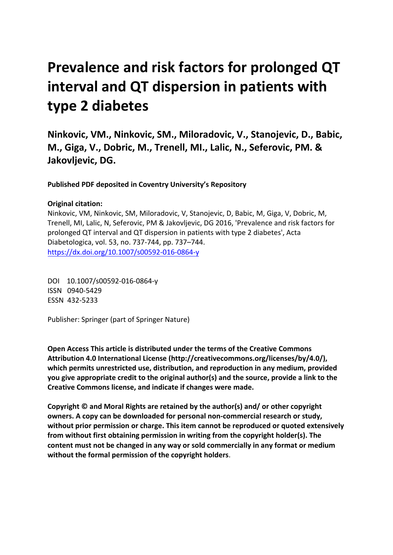# **Prevalence and risk factors for prolonged QT interval and QT dispersion in patients with type 2 diabetes**

**Ninkovic, VM., Ninkovic, SM., Miloradovic, V., Stanojevic, D., Babic, M., Giga, V., Dobric, M., Trenell, MI., Lalic, N., Seferovic, PM. & Jakovljevic, DG.** 

**Published PDF deposited in Coventry University's Repository** 

# **Original citation:**

Ninkovic, VM, Ninkovic, SM, Miloradovic, V, Stanojevic, D, Babic, M, Giga, V, Dobric, M, Trenell, MI, Lalic, N, Seferovic, PM & Jakovljevic, DG 2016, 'Prevalence and risk factors for prolonged QT interval and QT dispersion in patients with type 2 diabetes', Acta Diabetologica, vol. 53, no. 737-744, pp. 737–744. https://dx.doi.org/10.1007/s00592-016-0864-y

 DOI 10.1007/s00592-016-0864-y ISSN 0940-5429 ESSN 432-5233

Publisher: Springer (part of Springer Nature)

**Open Access This article is distributed under the terms of the Creative Commons Attribution 4.0 International License (http://creativecommons.org/licenses/by/4.0/), which permits unrestricted use, distribution, and reproduction in any medium, provided you give appropriate credit to the original author(s) and the source, provide a link to the Creative Commons license, and indicate if changes were made.** 

**Copyright © and Moral Rights are retained by the author(s) and/ or other copyright owners. A copy can be downloaded for personal non-commercial research or study, without prior permission or charge. This item cannot be reproduced or quoted extensively from without first obtaining permission in writing from the copyright holder(s). The content must not be changed in any way or sold commercially in any format or medium without the formal permission of the copyright holders**.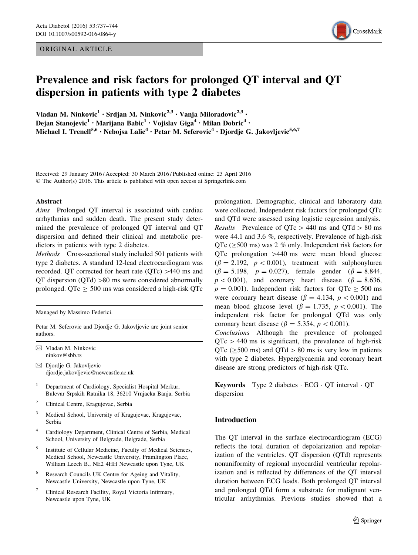ORIGINAL ARTICLE



# Prevalence and risk factors for prolonged QT interval and QT dispersion in patients with type 2 diabetes

Vladan M. Ninkovic<sup>1</sup> · Srdjan M. Ninkovic<sup>2,3</sup> · Vanja Miloradovic<sup>2,3</sup> · Dejan Stanojevic<sup>1</sup> • Marijana Babic<sup>1</sup> • Vojislav Giga<sup>4</sup> • Milan Dobric<sup>4</sup> • Michael I. Trenell<sup>5,6</sup> · Nebojsa Lalic<sup>4</sup> · Petar M. Seferovic<sup>4</sup> · Djordje G. Jakovljevic<sup>5,6,7</sup>

Received: 29 January 2016 / Accepted: 30 March 2016 / Published online: 23 April 2016 © The Author(s) 2016. This article is published with open access at Springerlink.com

#### Abstract

Aims Prolonged QT interval is associated with cardiac arrhythmias and sudden death. The present study determined the prevalence of prolonged QT interval and QT dispersion and defined their clinical and metabolic predictors in patients with type 2 diabetes.

Methods Cross-sectional study included 501 patients with type 2 diabetes. A standard 12-lead electrocardiogram was recorded. QT corrected for heart rate  $(QTc) > 440$  ms and QT dispersion  $(QTd) > 80$  ms were considered abnormally prolonged. QTc  $\geq$  500 ms was considered a high-risk QTc

Managed by Massimo Federici.

Petar M. Seferovic and Djordje G. Jakovljevic are joint senior authors.

 $\boxtimes$  Vladan M. Ninkovic ninkov@sbb.rs

- $\boxtimes$  Djordje G. Jakovljevic djordje.jakovljevic@newcastle.ac.uk
- <sup>1</sup> Department of Cardiology, Specialist Hospital Merkur, Bulevar Srpskih Ratnika 18, 36210 Vrnjacka Banja, Serbia
- 2 Clinical Centre, Kragujevac, Serbia
- 3 Medical School, University of Kragujevac, Kragujevac, Serbia
- 4 Cardiology Department, Clinical Centre of Serbia, Medical School, University of Belgrade, Belgrade, Serbia
- 5 Institute of Cellular Medicine, Faculty of Medical Sciences, Medical School, Newcastle University, Framlington Place, William Leech B., NE2 4HH Newcastle upon Tyne, UK
- Research Councils UK Centre for Ageing and Vitality, Newcastle University, Newcastle upon Tyne, UK
- Clinical Research Facility, Royal Victoria Infirmary, Newcastle upon Tyne, UK

prolongation. Demographic, clinical and laboratory data were collected. Independent risk factors for prolonged QTc and QTd were assessed using logistic regression analysis. *Results* Prevalence of  $QTc > 440$  ms and  $QTd > 80$  ms were 44.1 and 3.6 %, respectively. Prevalence of high-risk QTc ( $\geq$ 500 ms) was 2 % only. Independent risk factors for  $QTc$  prolongation  $>440$  ms were mean blood glucose  $(\beta = 2.192, p < 0.001)$ , treatment with sulphonylurea  $(\beta = 5.198, p = 0.027)$ , female gender  $(\beta = 8.844,$  $p < 0.001$ ), and coronary heart disease ( $\beta = 8.636$ ,  $p = 0.001$ ). Independent risk factors for QTc  $\geq 500$  ms were coronary heart disease ( $\beta = 4.134$ ,  $p < 0.001$ ) and mean blood glucose level ( $\beta = 1.735$ ,  $p < 0.001$ ). The independent risk factor for prolonged QTd was only coronary heart disease ( $\beta = 5.354$ ,  $p < 0.001$ ).

Conclusions Although the prevalence of prolonged  $QTc > 440$  ms is significant, the prevalence of high-risk QTc ( $\geq$ 500 ms) and QTd  $> 80$  ms is very low in patients with type 2 diabetes. Hyperglycaemia and coronary heart disease are strong predictors of high-risk QTc.

Keywords Type 2 diabetes · ECG · QT interval · QT dispersion

## Introduction

The QT interval in the surface electrocardiogram (ECG) reflects the total duration of depolarization and repolarization of the ventricles. QT dispersion (QTd) represents nonuniformity of regional myocardial ventricular repolarization and is reflected by differences of the QT interval duration between ECG leads. Both prolonged QT interval and prolonged QTd form a substrate for malignant ventricular arrhythmias. Previous studies showed that a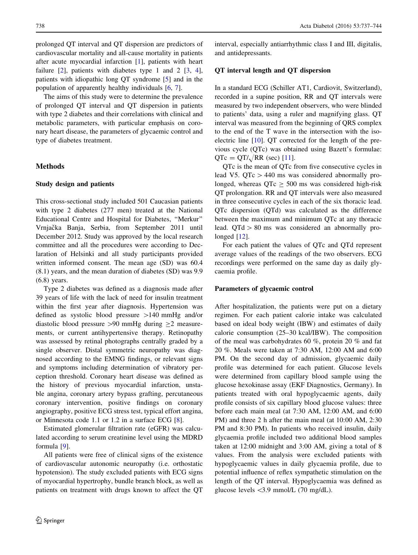prolonged QT interval and QT dispersion are predictors of cardiovascular mortality and all-cause mortality in patients after acute myocardial infarction [[1\]](#page-7-0), patients with heart failure  $[2]$  $[2]$ , patients with diabetes type 1 and 2  $[3, 4]$  $[3, 4]$  $[3, 4]$  $[3, 4]$  $[3, 4]$ , patients with idiopathic long QT syndrome [[5](#page-7-0)] and in the population of apparently healthy individuals [\[6](#page-7-0), [7](#page-7-0)].

The aims of this study were to determine the prevalence of prolonged QT interval and QT dispersion in patients with type 2 diabetes and their correlations with clinical and metabolic parameters, with particular emphasis on coronary heart disease, the parameters of glycaemic control and type of diabetes treatment.

#### Methods

#### Study design and patients

This cross-sectional study included 501 Caucasian patients with type 2 diabetes (277 men) treated at the National Educational Centre and Hospital for Diabetes, ''Merkur'' Vrnjačka Banja, Serbia, from September 2011 until December 2012. Study was approved by the local research committee and all the procedures were according to Declaration of Helsinki and all study participants provided written informed consent. The mean age (SD) was 60.4 (8.1) years, and the mean duration of diabetes (SD) was 9.9 (6.8) years.

Type 2 diabetes was defined as a diagnosis made after 39 years of life with the lack of need for insulin treatment within the first year after diagnosis. Hypertension was defined as systolic blood pressure  $>140$  mmHg and/or diastolic blood pressure  $>90$  mmHg during  $\geq 2$  measurements, or current antihypertensive therapy. Retinopathy was assessed by retinal photographs centrally graded by a single observer. Distal symmetric neuropathy was diagnosed according to the EMNG findings, or relevant signs and symptoms including determination of vibratory perception threshold. Coronary heart disease was defined as the history of previous myocardial infarction, unstable angina, coronary artery bypass grafting, percutaneous coronary intervention, positive findings on coronary angiography, positive ECG stress test, typical effort angina, or Minnesota code 1.1 or 1.2 in a surface ECG [\[8](#page-7-0)].

Estimated glomerular filtration rate (eGFR) was calculated according to serum creatinine level using the MDRD formula [\[9](#page-7-0)].

All patients were free of clinical signs of the existence of cardiovascular autonomic neuropathy (i.e. orthostatic hypotension). The study excluded patients with ECG signs of myocardial hypertrophy, bundle branch block, as well as patients on treatment with drugs known to affect the QT interval, especially antiarrhythmic class I and III, digitalis, and antidepressants.

#### QT interval length and QT dispersion

In a standard ECG (Schiller AT1, Cardiovit, Switzerland), recorded in a supine position, RR and QT intervals were measured by two independent observers, who were blinded to patients' data, using a ruler and magnifying glass. QT interval was measured from the beginning of QRS complex to the end of the T wave in the intersection with the isoelectric line [[10\]](#page-7-0). QT corrected for the length of the previous cycle (QTc) was obtained using Bazett's formulae:  $QTc = QT/\sqrt{RR}$  (sec) [\[11](#page-7-0)].

QTc is the mean of QTc from five consecutive cycles in lead V5.  $QTc > 440$  ms was considered abnormally prolonged, whereas  $QTc \ge 500$  ms was considered high-risk QT prolongation. RR and QT intervals were also measured in three consecutive cycles in each of the six thoracic lead. QTc dispersion (QTd) was calculated as the difference between the maximum and minimum QTc at any thoracic lead.  $QTd > 80$  ms was considered an abnormally prolonged  $[12]$  $[12]$ .

For each patient the values of QTc and QTd represent average values of the readings of the two observers. ECG recordings were performed on the same day as daily glycaemia profile.

#### Parameters of glycaemic control

After hospitalization, the patients were put on a dietary regimen. For each patient calorie intake was calculated based on ideal body weight (IBW) and estimates of daily calorie consumption (25–30 kcal/IBW). The composition of the meal was carbohydrates 60 %, protein 20 % and fat 20 %. Meals were taken at 7:30 AM, 12:00 AM and 6:00 PM. On the second day of admission, glycaemic daily profile was determined for each patient. Glucose levels were determined from capillary blood sample using the glucose hexokinase assay (EKF Diagnostics, Germany). In patients treated with oral hypoglycaemic agents, daily profile consists of six capillary blood glucose values: three before each main meal (at 7:30 AM, 12:00 AM, and 6:00 PM) and three 2 h after the main meal (at 10:00 AM, 2:30 PM and 8:30 PM). In patients who received insulin, daily glycaemia profile included two additional blood samples taken at 12:00 midnight and 3:00 AM, giving a total of 8 values. From the analysis were excluded patients with hypoglycaemic values in daily glycaemia profile, due to potential influence of reflex sympathetic stimulation on the length of the QT interval. Hypoglycaemia was defined as glucose levels  $\langle 3.9 \text{ mmol/L} (70 \text{ mg/dL}).$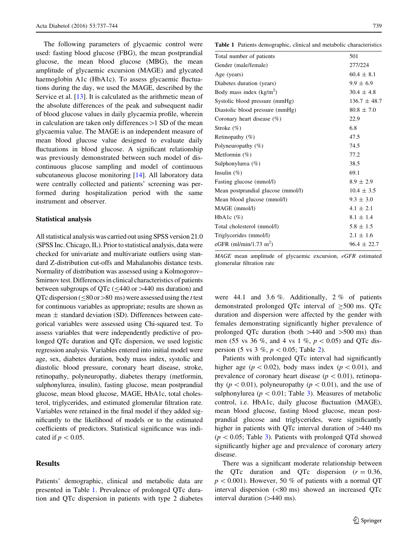The following parameters of glycaemic control were used: fasting blood glucose (FBG), the mean postprandial glucose, the mean blood glucose (MBG), the mean amplitude of glycaemic excursion (MAGE) and glycated haemoglobin A1c (HbA1c). To assess glycaemic fluctuations during the day, we used the MAGE, described by the Service et al. [[13\]](#page-7-0). It is calculated as the arithmetic mean of the absolute differences of the peak and subsequent nadir of blood glucose values in daily glycaemia profile, wherein in calculation are taken only differences  $>1$  SD of the mean glycaemia value. The MAGE is an independent measure of mean blood glucose value designed to evaluate daily fluctuations in blood glucose. A significant relationship was previously demonstrated between such model of discontinuous glucose sampling and model of continuous subcutaneous glucose monitoring [[14\]](#page-7-0). All laboratory data were centrally collected and patients' screening was performed during hospitalization period with the same instrument and observer.

#### Statistical analysis

All statistical analysis was carried out using SPSS version 21.0 (SPSS Inc. Chicago, IL). Prior to statistical analysis, data were checked for univariate and multivariate outliers using standard Z-distribution cut-offs and Mahalanobis distance tests. Normality of distribution was assessed using a Kolmogorov– Smirnov test. Differences in clinical characteristics of patients between subgroups of QTc ( $\leq$ 440 or >440 ms duration) and QTc dispersion ( $\leq 80$  or  $> 80$  ms) were assessed using the t test for continuous variables as appropriate; results are shown as mean  $\pm$  standard deviation (SD). Differences between categorical variables were assessed using Chi-squared test. To assess variables that were independently predictive of prolonged QTc duration and QTc dispersion, we used logistic regression analysis. Variables entered into initial model were age, sex, diabetes duration, body mass index, systolic and diastolic blood pressure, coronary heart disease, stroke, retinopathy, polyneuropathy, diabetes therapy (metformin, sulphonylurea, insulin), fasting glucose, mean postprandial glucose, mean blood glucose, MAGE, HbA1c, total cholesterol, triglycerides, and estimated glomerular filtration rate. Variables were retained in the final model if they added significantly to the likelihood of models or to the estimated coefficients of predictors. Statistical significance was indicated if  $p < 0.05$ .

### Results

Patients' demographic, clinical and metabolic data are presented in Table 1. Prevalence of prolonged QTc duration and QTc dispersion in patients with type 2 diabetes Table 1 Patients demographic, clinical and metabolic characteristics

| Total number of patients           | 501              |
|------------------------------------|------------------|
| Gender (male/female)               | 277/224          |
| Age (years)                        | $60.4 \pm 8.1$   |
| Diabetes duration (years)          | $9.9 \pm 6.9$    |
| Body mass index $(kg/m2)$          | $30.4 \pm 4.8$   |
| Systolic blood pressure (mmHg)     | $136.7 \pm 48.7$ |
| Diastolic blood pressure (mmHg)    | $80.8 \pm 7.0$   |
| Coronary heart disease $(\%)$      | 22.9             |
| Stroke $(\%)$                      | 6.8              |
| Retinopathy $(\%)$                 | 47.5             |
| Polyneuropathy $(\%)$              | 74.5             |
| Metformin $(\%)$                   | 77.2             |
| Sulphonylurea $(\%)$               | 38.5             |
| Insulin $(\% )$                    | 69.1             |
| Fasting glucose (mmol/l)           | $8.9 \pm 2.9$    |
| Mean postprandial glucose (mmol/l) | $10.4 \pm 3.5$   |
| Mean blood glucose (mmol/l)        | $9.3 \pm 3.0$    |
| MAGE (mmol/l)                      | $4.1 \pm 2.1$    |
| HbA1c $(\%)$                       | $8.1 \pm 1.4$    |
| Total cholesterol (mmol/l)         | $5.8 \pm 1.5$    |
| Triglycerides (mmol/l)             | $2.1 \pm 1.6$    |
| eGFR (ml/min/1.73 m <sup>2</sup> ) | $96.4 \pm 22.7$  |
|                                    |                  |

MAGE mean amplitude of glycaemic excursion, eGFR estimated glomerular filtration rate

were 44.1 and 3.6 %. Additionally, 2 % of patients demonstrated prolonged QTc interval of  $\geq$ 500 ms. QTc duration and dispersion were affected by the gender with females demonstrating significantly higher prevalence of prolonged QTc duration (both  $>440$  and  $>500$  ms) than men (55 vs 36 %, and 4 vs 1 %,  $p < 0.05$ ) and QTc dispersion (5 vs 3 %,  $p < 0.05$ ; Table [2](#page-4-0)).

Patients with prolonged QTc interval had significantly higher age ( $p < 0.02$ ), body mass index ( $p < 0.01$ ), and prevalence of coronary heart disease ( $p < 0.01$ ), retinopathy ( $p\lt0.01$ ), polyneuropathy ( $p\lt0.01$ ), and the use of sulphonylurea ( $p < 0.01$ ; Table [3](#page-4-0)). Measures of metabolic control, i.e. HbA1c, daily glucose fluctuation (MAGE), mean blood glucose, fasting blood glucose, mean postprandial glucose and triglycerides, were significantly higher in patients with QTc interval duration of  $>440$  ms  $(p < 0.05;$  Table [3\)](#page-4-0). Patients with prolonged QTd showed significantly higher age and prevalence of coronary artery disease.

There was a significant moderate relationship between the QTc duration and QTc dispersion  $(r = 0.36)$ ,  $p<0.001$ ). However, 50 % of patients with a normal QT interval dispersion  $(< 80$  ms) showed an increased QTc interval duration  $($ >440 ms).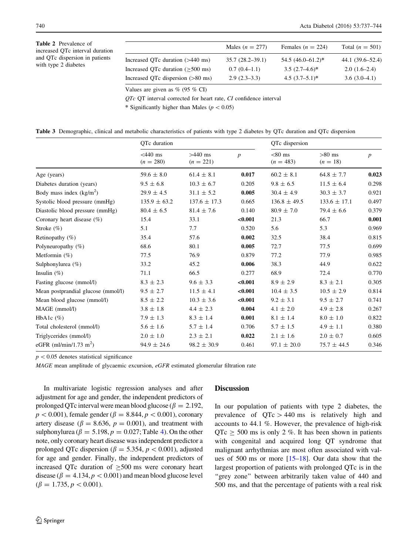<span id="page-4-0"></span>

| <b>Table 2</b> Prevalence of<br>increased QTc interval duration<br>and QTc dispersion in patients<br>with type 2 diabetes |                                             | Males $(n = 277)$   | Females ( $n = 224$ ) | Total $(n = 501)$ |
|---------------------------------------------------------------------------------------------------------------------------|---------------------------------------------|---------------------|-----------------------|-------------------|
|                                                                                                                           | Increased OTc duration $($ >440 ms)         | $35.7(28.2 - 39.1)$ | $54.5(46.0-61.2)^*$   | 44.1 (39.6–52.4)  |
|                                                                                                                           | Increased OTc duration $($ >500 ms)         | $0.7(0.4-1.1)$      | $3.5(2.7-4.6)^*$      | $2.0(1.6-2.4)$    |
|                                                                                                                           | Increased QTc dispersion $(>80 \text{ ms})$ | $2.9(2.3-3.3)$      | $4.5(3.7-5.1)^*$      | $3.6(3.0-4.1)$    |

Values are given as  $\%$  (95  $\%$  CI)

 $QTc$  QT interval corrected for heart rate,  $CI$  confidence interval

\* Significantly higher than Males ( $p < 0.05$ )

|  | Table 3 Demographic, clinical and metabolic characteristics of patients with type 2 diabetes by QTc duration and QTc dispersion |  |  |  |  |  |  |  |  |  |
|--|---------------------------------------------------------------------------------------------------------------------------------|--|--|--|--|--|--|--|--|--|
|--|---------------------------------------------------------------------------------------------------------------------------------|--|--|--|--|--|--|--|--|--|

|                                    | QTc duration              |                          |                  | QTc dispersion           |                        |                  |
|------------------------------------|---------------------------|--------------------------|------------------|--------------------------|------------------------|------------------|
|                                    | $<$ 440 ms<br>$(n = 280)$ | $>440$ ms<br>$(n = 221)$ | $\boldsymbol{p}$ | $< 80$ ms<br>$(n = 483)$ | $>80$ ms<br>$(n = 18)$ | $\boldsymbol{p}$ |
| Age (years)                        | $59.6 \pm 8.0$            | $61.4 \pm 8.1$           | 0.017            | $60.2 \pm 8.1$           | $64.8 \pm 7.7$         | 0.023            |
| Diabetes duration (years)          | $9.5 \pm 6.8$             | $10.3 \pm 6.7$           | 0.205            | $9.8 \pm 6.5$            | $11.5 \pm 6.4$         | 0.298            |
| Body mass index $(kg/m2)$          | $29.9 \pm 4.5$            | $31.1 \pm 5.2$           | 0.005            | $30.4 \pm 4.9$           | $30.3 \pm 3.7$         | 0.921            |
| Systolic blood pressure (mmHg)     | $135.9 \pm 63.2$          | $137.6 \pm 17.3$         | 0.665            | $136.8 \pm 49.5$         | $133.6 \pm 17.1$       | 0.497            |
| Diastolic blood pressure (mmHg)    | $80.4 \pm 6.5$            | $81.4 \pm 7.6$           | 0.140            | $80.9 \pm 7.0$           | $79.4 \pm 6.6$         | 0.379            |
| Coronary heart disease $(\%)$      | 15.4                      | 33.1                     | < 0.001          | 21.3                     | 66.7                   | 0.001            |
| Stroke $(\%)$                      | 5.1                       | 7.7                      | 0.520            | 5.6                      | 5.3                    | 0.969            |
| Retinopathy $(\% )$                | 35.4                      | 57.6                     | 0.002            | 32.5                     | 38.4                   | 0.815            |
| Polyneuropathy $(\%)$              | 68.6                      | 80.1                     | 0.005            | 72.7                     | 77.5                   | 0.699            |
| Metformin $(\%)$                   | 77.5                      | 76.9                     | 0.879            | 77.2                     | 77.9                   | 0.985            |
| Sulphonylurea $(\% )$              | 33.2                      | 45.2                     | 0.006            | 38.3                     | 44.9                   | 0.622            |
| Insulin $(\% )$                    | 71.1                      | 66.5                     | 0.277            | 68.9                     | 72.4                   | 0.770            |
| Fasting glucose (mmol/l)           | $8.3 \pm 2.3$             | $9.6 \pm 3.3$            | < 0.001          | $8.9 \pm 2.9$            | $8.3 \pm 2.1$          | 0.305            |
| Mean postprandial glucose (mmol/l) | $9.5 \pm 2.7$             | $11.5 \pm 4.1$           | $0.001$          | $10.4 \pm 3.5$           | $10.5 \pm 2.9$         | 0.814            |
| Mean blood glucose (mmol/l)        | $8.5 \pm 2.2$             | $10.3 \pm 3.6$           | < 0.001          | $9.2 \pm 3.1$            | $9.5 \pm 2.7$          | 0.741            |
| MAGE (mmol/l)                      | $3.8 \pm 1.8$             | $4.4 \pm 2.3$            | 0.004            | $4.1 \pm 2.0$            | $4.9 \pm 2.8$          | 0.267            |
| HbA1c $(\%)$                       | $7.9 \pm 1.3$             | $8.3 \pm 1.4$            | 0.001            | $8.1 \pm 1.4$            | $8.0 \pm 1.0$          | 0.822            |
| Total cholesterol (mmol/l)         | $5.6 \pm 1.6$             | $5.7 \pm 1.4$            | 0.706            | $5.7 \pm 1.5$            | $4.9 \pm 1.1$          | 0.380            |
| Triglycerides (mmol/l)             | $2.0 \pm 1.0$             | $2.3 \pm 2.1$            | 0.022            | $2.1 \pm 1.6$            | $2.0 \pm 0.7$          | 0.605            |
| eGFR (ml/min/1.73 m <sup>2</sup> ) | $94.9 \pm 24.6$           | $98.2 \pm 30.9$          | 0.461            | $97.1 \pm 20.0$          | $75.7 \pm 44.5$        | 0.346            |
|                                    |                           |                          |                  |                          |                        |                  |

 $p < 0.05$  denotes statistical significance

MAGE mean amplitude of glycaemic excursion, eGFR estimated glomerular filtration rate

In multivariate logistic regression analyses and after adjustment for age and gender, the independent predictors of prolonged QTc interval were mean blood glucose ( $\beta = 2.192$ ,  $p < 0.001$ ), female gender ( $\beta = 8.844, p < 0.001$ ), coronary artery disease ( $\beta = 8.636$ ,  $p = 0.001$ ), and treatment with sulphonylurea ( $\beta = 5.198$ ,  $p = 0.027$ ; Table [4\)](#page-5-0). On the other note, only coronary heart disease was independent predictor a prolonged QTc dispersion ( $\beta = 5.354$ ,  $p < 0.001$ ), adjusted for age and gender. Finally, the independent predictors of increased QTc duration of  $\geq$ 500 ms were coronary heart disease ( $\beta = 4.134, p < 0.001$ ) and mean blood glucose level  $(\beta = 1.735, p < 0.001).$ 

#### **Discussion**

In our population of patients with type 2 diabetes, the prevalence of  $QTc > 440$  ms is relatively high and accounts to 44.1 %. However, the prevalence of high-risk  $QTc \ge 500$  ms is only 2 %. It has been shown in patients with congenital and acquired long QT syndrome that malignant arrhythmias are most often associated with values of 500 ms or more  $[15-18]$ . Our data show that the largest proportion of patients with prolonged QTc is in the "grey zone" between arbitrarily taken value of 440 and 500 ms, and that the percentage of patients with a real risk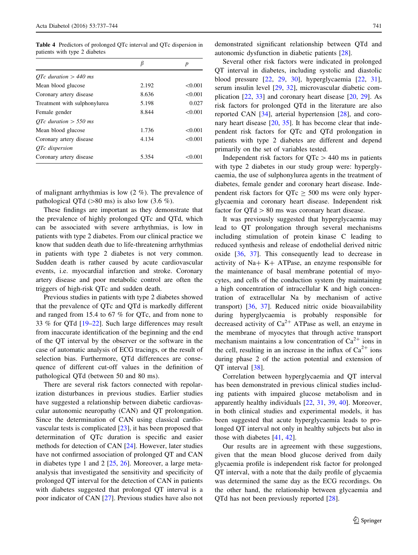<span id="page-5-0"></span>Table 4 Predictors of prolonged QTc interval and QTc dispersion in patients with type 2 diabetes

|                              |       | p       |
|------------------------------|-------|---------|
| OTc duration $> 440$ ms      |       |         |
| Mean blood glucose           | 2.192 | < 0.001 |
| Coronary artery disease      | 8.636 | < 0.001 |
| Treatment with sulphonylurea | 5.198 | 0.027   |
| Female gender                | 8.844 | < 0.001 |
| OTc duration $>$ 550 ms      |       |         |
| Mean blood glucose           | 1.736 | < 0.001 |
| Coronary artery disease      | 4.134 | < 0.001 |
| <i>OTc</i> dispersion        |       |         |
| Coronary artery disease      | 5.354 | < 0.001 |

of malignant arrhythmias is low (2 %). The prevalence of pathological QTd ( $>80$  ms) is also low (3.6 %).

These findings are important as they demonstrate that the prevalence of highly prolonged QTc and QTd, which can be associated with severe arrhythmias, is low in patients with type 2 diabetes. From our clinical practice we know that sudden death due to life-threatening arrhythmias in patients with type 2 diabetes is not very common. Sudden death is rather caused by acute cardiovascular events, i.e. myocardial infarction and stroke. Coronary artery disease and poor metabolic control are often the triggers of high-risk QTc and sudden death.

Previous studies in patients with type 2 diabetes showed that the prevalence of QTc and QTd is markedly different and ranged from 15.4 to 67 % for QTc, and from none to 33 % for QTd [[19–22\]](#page-7-0). Such large differences may result from inaccurate identification of the beginning and the end of the QT interval by the observer or the software in the case of automatic analysis of ECG tracings, or the result of selection bias. Furthermore, QTd differences are consequence of different cut-off values in the definition of pathological QTd (between 50 and 80 ms).

There are several risk factors connected with repolarization disturbances in previous studies. Earlier studies have suggested a relationship between diabetic cardiovascular autonomic neuropathy (CAN) and QT prolongation. Since the determination of CAN using classical cardiovascular tests is complicated [\[23](#page-7-0)], it has been proposed that determination of QTc duration is specific and easier methods for detection of CAN [\[24](#page-7-0)]. However, later studies have not confirmed association of prolonged QT and CAN in diabetes type 1 and 2 [[25,](#page-7-0) [26](#page-7-0)]. Moreover, a large metaanalysis that investigated the sensitivity and specificity of prolonged QT interval for the detection of CAN in patients with diabetes suggested that prolonged QT interval is a poor indicator of CAN [[27\]](#page-7-0). Previous studies have also not demonstrated significant relationship between QTd and autonomic dysfunction in diabetic patients [\[28](#page-7-0)].

Several other risk factors were indicated in prolonged QT interval in diabetes, including systolic and diastolic blood pressure [[22,](#page-7-0) [29](#page-7-0), [30\]](#page-7-0), hyperglycaemia [[22,](#page-7-0) [31](#page-7-0)], serum insulin level [[29,](#page-7-0) [32](#page-7-0)], microvascular diabetic complication [\[22](#page-7-0), [33](#page-7-0)] and coronary heart disease [[20,](#page-7-0) [29\]](#page-7-0). As risk factors for prolonged QTd in the literature are also reported CAN [\[34](#page-7-0)], arterial hypertension [\[28](#page-7-0)], and coronary heart disease  $[20, 35]$  $[20, 35]$  $[20, 35]$  $[20, 35]$ . It has become clear that independent risk factors for QTc and QTd prolongation in patients with type 2 diabetes are different and depend primarily on the set of variables tested.

Independent risk factors for  $QTc > 440$  ms in patients with type 2 diabetes in our study group were: hyperglycaemia, the use of sulphonylurea agents in the treatment of diabetes, female gender and coronary heart disease. Independent risk factors for  $QTc \ge 500$  ms were only hyperglycaemia and coronary heart disease. Independent risk factor for  $QTd > 80$  ms was coronary heart disease.

It was previously suggested that hyperglycaemia may lead to QT prolongation through several mechanisms including stimulation of protein kinase C leading to reduced synthesis and release of endothelial derived nitric oxide [[36,](#page-8-0) [37](#page-8-0)]. This consequently lead to decrease in activity of Na+ K+ ATPase, an enzyme responsible for the maintenance of basal membrane potential of myocytes, and cells of the conduction system (by maintaining a high concentration of intracellular K and high concentration of extracellular Na by mechanism of active transport) [[36,](#page-8-0) [37](#page-8-0)]. Reduced nitric oxide bioavailability during hyperglycaemia is probably responsible for decreased activity of  $Ca^{2+}$  ATPase as well, an enzyme in the membrane of myocytes that through active transport mechanism maintains a low concentration of  $Ca^{2+}$  ions in the cell, resulting in an increase in the influx of  $Ca^{2+}$  ions during phase 2 of the action potential and extension of QT interval [\[38](#page-8-0)].

Correlation between hyperglycaemia and QT interval has been demonstrated in previous clinical studies including patients with impaired glucose metabolism and in apparently healthy individuals [[22,](#page-7-0) [31,](#page-7-0) [39](#page-8-0), [40](#page-8-0)]. Moreover, in both clinical studies and experimental models, it has been suggested that acute hyperglycaemia leads to prolonged QT interval not only in healthy subjects but also in those with diabetes [\[41](#page-8-0), [42\]](#page-8-0).

Our results are in agreement with these suggestions, given that the mean blood glucose derived from daily glycaemia profile is independent risk factor for prolonged QT interval, with a note that the daily profile of glycaemia was determined the same day as the ECG recordings. On the other hand, the relationship between glycaemia and QTd has not been previously reported [\[28](#page-7-0)].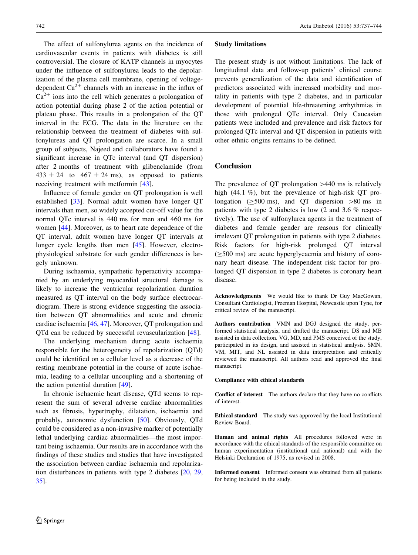The effect of sulfonylurea agents on the incidence of cardiovascular events in patients with diabetes is still controversial. The closure of KATP channels in myocytes under the influence of sulfonylurea leads to the depolarization of the plasma cell membrane, opening of voltagedependent  $Ca^{2+}$  channels with an increase in the influx of  $Ca^{2+}$  ions into the cell which generates a prolongation of action potential during phase 2 of the action potential or plateau phase. This results in a prolongation of the QT interval in the ECG. The data in the literature on the relationship between the treatment of diabetes with sulfonylureas and QT prolongation are scarce. In a small group of subjects, Najeed and collaborators have found a significant increase in QTc interval (and QT dispersion) after 2 months of treatment with glibenclamide (from  $433 \pm 24$  to  $467 \pm 24$  ms), as opposed to patients receiving treatment with metformin [[43\]](#page-8-0).

Influence of female gender on QT prolongation is well established [\[33](#page-7-0)]. Normal adult women have longer QT intervals than men, so widely accepted cut-off value for the normal QTc interval is 440 ms for men and 460 ms for women [[44\]](#page-8-0). Moreover, as to heart rate dependence of the QT interval, adult women have longer QT intervals at longer cycle lengths than men [\[45](#page-8-0)]. However, electrophysiological substrate for such gender differences is largely unknown.

During ischaemia, sympathetic hyperactivity accompanied by an underlying myocardial structural damage is likely to increase the ventricular repolarization duration measured as QT interval on the body surface electrocardiogram. There is strong evidence suggesting the association between QT abnormalities and acute and chronic cardiac ischaemia [\[46](#page-8-0), [47](#page-8-0)]. Moreover, QT prolongation and QTd can be reduced by successful revascularization [[48\]](#page-8-0).

The underlying mechanism during acute ischaemia responsible for the heterogeneity of repolarization (QTd) could be identified on a cellular level as a decrease of the resting membrane potential in the course of acute ischaemia, leading to a cellular uncoupling and a shortening of the action potential duration [[49\]](#page-8-0).

In chronic ischaemic heart disease, QTd seems to represent the sum of several adverse cardiac abnormalities such as fibrosis, hypertrophy, dilatation, ischaemia and probably, autonomic dysfunction [\[50](#page-8-0)]. Obviously, QTd could be considered as a non-invasive marker of potentially lethal underlying cardiac abnormalities—the most important being ischaemia. Our results are in accordance with the findings of these studies and studies that have investigated the association between cardiac ischaemia and repolarization disturbances in patients with type 2 diabetes [[20,](#page-7-0) [29,](#page-7-0) [35](#page-8-0)].

#### Study limitations

The present study is not without limitations. The lack of longitudinal data and follow-up patients' clinical course prevents generalization of the data and identification of predictors associated with increased morbidity and mortality in patients with type 2 diabetes, and in particular development of potential life-threatening arrhythmias in those with prolonged QTc interval. Only Caucasian patients were included and prevalence and risk factors for prolonged QTc interval and QT dispersion in patients with other ethnic origins remains to be defined.

#### Conclusion

The prevalence of  $QT$  prolongation  $>440$  ms is relatively high (44.1 %), but the prevalence of high-risk QT prolongation ( $\geq$ 500 ms), and QT dispersion  $>80$  ms in patients with type 2 diabetes is low (2 and 3.6 % respectively). The use of sulfonylurea agents in the treatment of diabetes and female gender are reasons for clinically irrelevant QT prolongation in patients with type 2 diabetes. Risk factors for high-risk prolonged QT interval  $(\geq 500 \text{ ms})$  are acute hyperglycaemia and history of coronary heart disease. The independent risk factor for prolonged QT dispersion in type 2 diabetes is coronary heart disease.

Acknowledgments We would like to thank Dr Guy MacGowan, Consultant Cardiologist, Freeman Hospital, Newcastle upon Tyne, for critical review of the manuscript.

Authors contribution VMN and DGJ designed the study, performed statistical analysis, and drafted the manuscript. DS and MB assisted in data collection. VG, MD, and PMS conceived of the study, participated in its design, and assisted in statistical analysis. SMN, VM, MIT, and NL assisted in data interpretation and critically reviewed the manuscript. All authors read and approved the final manuscript.

#### Compliance with ethical standards

Conflict of interest The authors declare that they have no conflicts of interest.

Ethical standard The study was approved by the local Institutional Review Board.

Human and animal rights All procedures followed were in accordance with the ethical standards of the responsible committee on human experimentation (institutional and national) and with the Helsinki Declaration of 1975, as revised in 2008.

Informed consent Informed consent was obtained from all patients for being included in the study.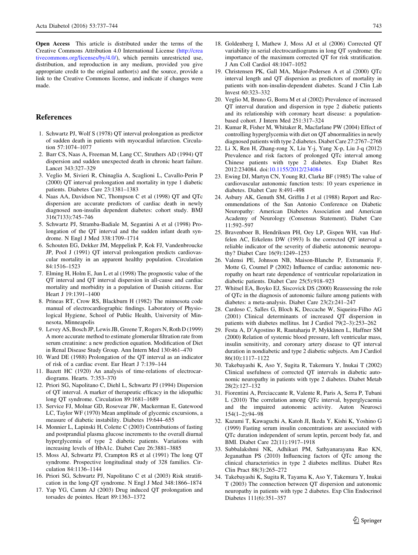<span id="page-7-0"></span>Open Access This article is distributed under the terms of the Creative Commons Attribution 4.0 International License ([http://crea](http://creativecommons.org/licenses/by/4.0/) [tivecommons.org/licenses/by/4.0/\)](http://creativecommons.org/licenses/by/4.0/), which permits unrestricted use, distribution, and reproduction in any medium, provided you give appropriate credit to the original author(s) and the source, provide a link to the Creative Commons license, and indicate if changes were made.

#### References

- 1. Schwartz PJ, Wolf S (1978) QT interval prolongation as predictor of sudden death in patients with myocardial infarction. Circulation 57:1074–1077
- 2. Barr CS, Naas A, Freeman M, Lang CC, Struthers AD (1994) QT dispersion and sudden unexpected death in chronic heart failure. Lancet 343:327–329
- 3. Veglio M, Sivieri R, Chinaglia A, Scaglioni L, Cavallo-Perin P (2000) QT interval prolongation and mortality in type 1 diabetic patients. Diabetes Care 23:1381–1383
- 4. Naas AA, Davidson NC, Thompson C et al (1998) QT and QTc dispersion are accurate predictors of cardiac death in newly diagnosed non-insulin dependent diabetes: cohort study. BMJ 316(7133):745–746
- 5. Schwartz PJ, Stramba-Badiale M, Segantini A et al (1998) Prolongation of the QT interval and the sudden infant death syndrome. N Engl J Med 338:1709–1714
- 6. Schouten EG, Dekker JM, Meppelink P, Kok FJ, Vandenbroucke JP, Pool J (1991) QT interval prolongation predicts cardiovascular mortality in an apparent healthy population. Circulation 84:1516–1523
- 7. Elming H, Holm E, Jun L et al (1998) The prognostic value of the QT interval and QT interval dispersion in all-cause and cardiac mortality and morbidity in a population of Danish citizens. Eur Heart J 19:1391–1400
- 8. Prineas RT, Crow RS, Blackburn H (1982) The minnesota code manual of electrocardiographic findings. Laboratory of Physiological Hygiene, School of Public Health, University of Minnesota, Minneapolis
- 9. Levey AS, Bosch JP, Lewis JB, Greene T, Rogers N, Roth D (1999) A more accurate method to estimate glomerular filtration rate from serum creatinine: a new prediction equation. Modification of Diet in Renal Disease Study Group. Ann Intern Med 130:461–470
- 10. Ward DE (1988) Prolongation of the QT interval as an indicator of risk of a cardiac event. Eur Heart J 7:139–144
- 11. Bazett HC (1920) An analysis of time-relations of electrocardiograms. Hearts. 7:353–370
- 12. Priori SG, Napolitano C, Diehl L, Schwartz PJ (1994) Dispersion of QT interval. A marker of therapeutic efficacy in the idiopathic long QT syndrome. Circulation 89:1681–1689
- 13. Service FJ, Molnar GD, Rosevear JW, Mackerman E, Gatewood LC, Taylor WF (1970) Mean amplitude of glycemic excursions, a measure of diabetic instability. Diabetes 19:644–655
- 14. Monnier L, Lapinski H, Colette C (2003) Contributions of fasting and postprandial plasma glucose increments to the overall diurnal hyperglycemia of type 2 diabetic patients. Variations with increasing levels of HbA1c. Diabet Care 26:3881–3885
- 15. Moss AJ, Schwartz PJ, Crampton RS et al (1991) The long QT syndrome. Prospective longitudinal study of 328 families. Circulation 84:1136–1144
- 16. Priori SG, Schwartz PJ, Napolitano C et al (2003) Risk stratification in the long-QT syndrome. N Engl J Med 348:1866–1874
- 17. Yap YG, Camm AJ (2003) Drug induced QT prolongation and torsades de pointes. Heart 89:1363–1372
- 18. Goldenberg I, Mathew J, Moss AJ et al (2006) Corrected QT variability in serial electrocardiograms in long QT syndrome: the importance of the maximum corrected QT for risk stratification. J Am Coll Cardiol 48:1047–1052
- 19. Christensen PK, Gall MA, Major-Pedersen A et al (2000) QTc interval length and QT dispersion as predictors of mortality in patients with non-insulin-dependent diabetes. Scand J Clin Lab Invest 60:323–332
- 20. Veglio M, Bruno G, Borra M et al (2002) Prevalence of increased QT interval duration and dispersion in type 2 diabetic patients and its relationship with coronary heart disease: a populationbased cohort. J Intern Med 251:317–324
- 21. Kumar R, Fisher M, Whitaker R, Macfarlane PW (2004) Effect of controlling hyperglycemia with diet on QT abnormalities in newly diagnosed patients with type 2 diabetes. Diabet Care 27:2767–2768
- 22. Li X, Ren H, Zhang-rong X, Liu Y-j, Yang X-p, Liu J-q (2012) Prevalence and risk factors of prolonged QTc interval among Chinese patients with type 2 diabetes. Exp Diabet Res 2012:234084. doi:[10.1155/2012/234084](http://dx.doi.org/10.1155/2012/234084)
- 23. Ewing DJ, Martyn CN, Young RJ, Clarke BF (1985) The value of cardiovascular autonomic function tests: 10 years experience in diabetes. Diabet Care 8:491–498
- 24. Asbury AK, Genuth SM, Griffin J et al (1988) Report and Recommendations of the San Antonio Conference on Diabetic Neuropathy: American Diabetes Association and American Academy of Neurology (Consensus Statement). Diabet Care 11:592–597
- 25. Bravenboer B, Hendriksen PH, Oey LP, Gispen WH, van Huffelen AC, Erkelens DW (1993) Is the corrected QT interval a reliable indicator of the severity of diabetic autonomic neuropathy? Diabet Care 16(9):1249–1253
- 26. Valensi PE, Johnson NB, Maison-Blanche P, Extramania F, Motte G, Coumel P (2002) Influence of cardiac autonomic neuropathy on heart rate dependence of ventricular repolarization in diabetic patients. Diabet Care 25(5):918–923
- 27. Whitsel EA, Boyko EJ, Siscovick DS (2000) Reassessing the role of QTc in the diagnosis of autonomic failure among patients with diabetes: a meta-analysis. Diabet Care 23(2):241–247
- 28. Cardoso C, Salles G, Bloch K, Deccache W, Siqueira-Filho AG (2001) Clinical determinants of increased QT dispersion in patients with diabetes mellitus. Int J Cardiol 79(2–3):253–262
- 29. Festa A, D'Agostino R, Rautaharju P, Mykkänen L, Haffner SM (2000) Relation of systemic blood pressure, left ventricular mass, insulin sensitivity, and coronary artery disease to QT interval duration in nondiabetic and type 2 diabetic subjects. Am J Cardiol 86(10):1117–1122
- 30. Takebayashi K, Aso Y, Sugita R, Takemura Y, Inukai T (2002) Clinical usefulness of corrected QT intervals in diabetic autonomic neuropathy in patients with type 2 diabetes. Diabet Metab 28(2):127–132
- 31. Fiorentini A, Perciaccante R, Valente R, Paris A, Serra P, Tubani L (2010) The correlation among QTc interval, hyperglycaemia and the impaired autonomic activity. Auton Neurosci 154(1–2):94–98
- 32. Kazumi T, Kawaguchi A, Katoh JI, Ikeda Y, Kishi K, Yoshino G (1999) Fasting serum insulin concentrations are associated with QTc duration independent of serum leptin, percent body fat, and BMI. Diabet Care 22(11):1917–1918
- 33. Subbalakshmi NK, Adhikari PM, Sathyanarayana Rao KN, Jeganathan PS (2010) Influencing factors of QTc among the clinical characteristics in type 2 diabetes mellitus. Diabet Res Clin Pract 88(3):265–272
- 34. Takebayashi K, Sugita R, Tayama K, Aso Y, Takemura Y, Inukai T (2003) The connection between QT dispersion and autonomic neuropathy in patients with type 2 diabetes. Exp Clin Endocrinol Diabetes 111(6):351–357